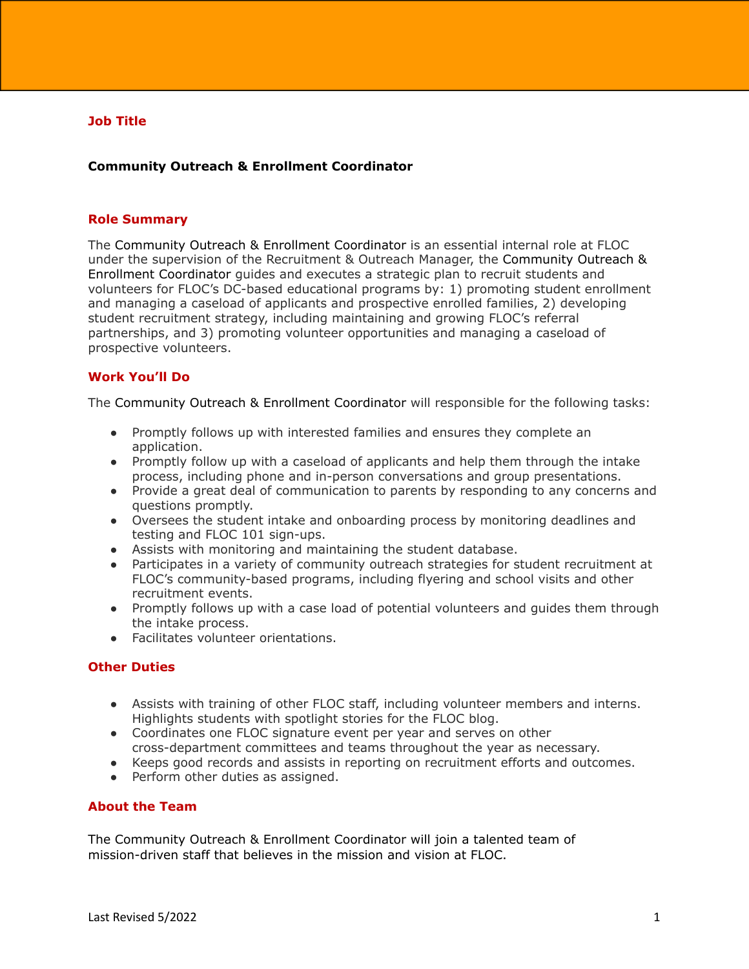# **Job Title**

# **Community Outreach & Enrollment Coordinator**

#### **Role Summary**

The Community Outreach & Enrollment Coordinator is an essential internal role at FLOC under the supervision of the Recruitment & Outreach Manager, the Community Outreach & Enrollment Coordinator guides and executes a strategic plan to recruit students and volunteers for FLOC's DC-based educational programs by: 1) promoting student enrollment and managing a caseload of applicants and prospective enrolled families, 2) developing student recruitment strategy, including maintaining and growing FLOC's referral partnerships, and 3) promoting volunteer opportunities and managing a caseload of prospective volunteers.

### **Work You'll Do**

The Community Outreach & Enrollment Coordinator will responsible for the following tasks:

- Promptly follows up with interested families and ensures they complete an application.
- Promptly follow up with a caseload of applicants and help them through the intake process, including phone and in-person conversations and group presentations.
- Provide a great deal of communication to parents by responding to any concerns and questions promptly.
- Oversees the student intake and onboarding process by monitoring deadlines and testing and FLOC 101 sign-ups.
- Assists with monitoring and maintaining the student database.
- Participates in a variety of community outreach strategies for student recruitment at FLOC's community-based programs, including flyering and school visits and other recruitment events.
- Promptly follows up with a case load of potential volunteers and quides them through the intake process.
- Facilitates volunteer orientations.

## **Other Duties**

- Assists with training of other FLOC staff, including volunteer members and interns. Highlights students with spotlight stories for the FLOC blog.
- Coordinates one FLOC signature event per year and serves on other cross-department committees and teams throughout the year as necessary.
- Keeps good records and assists in reporting on recruitment efforts and outcomes.
- Perform other duties as assigned.

# **About the Team**

The Community Outreach & Enrollment Coordinator will join a talented team of mission-driven staff that believes in the mission and vision at FLOC.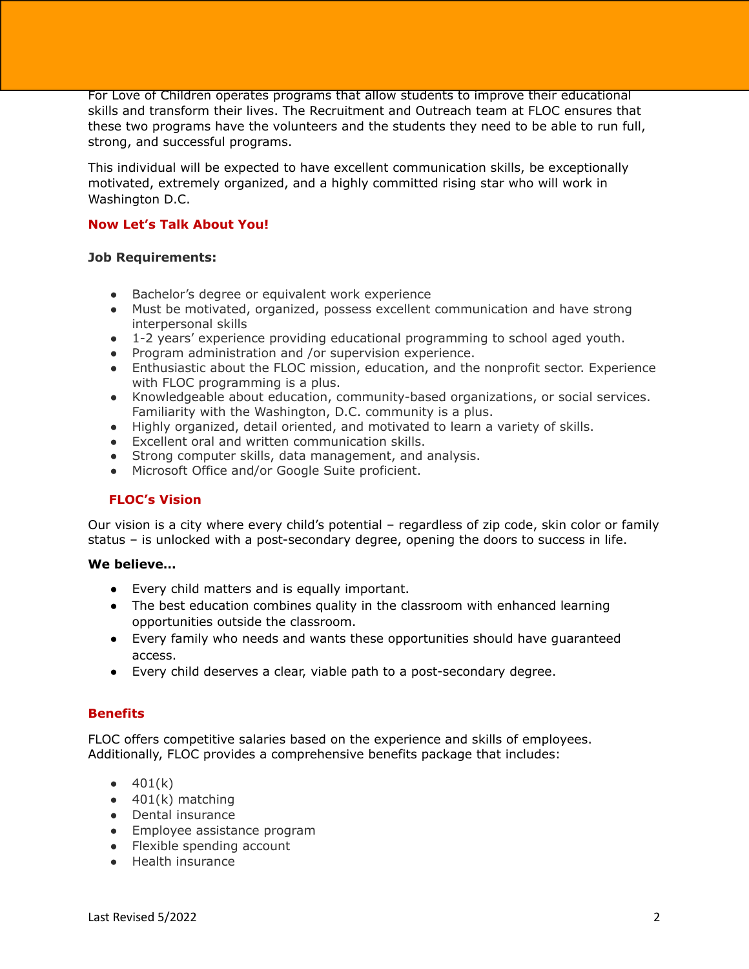For Love of Children operates programs that allow students to improve their educational skills and transform their lives. The Recruitment and Outreach team at FLOC ensures that these two programs have the volunteers and the students they need to be able to run full, strong, and successful programs.

This individual will be expected to have excellent communication skills, be exceptionally motivated, extremely organized, and a highly committed rising star who will work in Washington D.C.

# **Now Let's Talk About You!**

# **Job Requirements:**

- Bachelor's degree or equivalent work experience
- Must be motivated, organized, possess excellent communication and have strong interpersonal skills
- 1-2 years' experience providing educational programming to school aged youth.
- Program administration and /or supervision experience.
- Enthusiastic about the FLOC mission, education, and the nonprofit sector. Experience with FLOC programming is a plus.
- Knowledgeable about education, community-based organizations, or social services. Familiarity with the Washington, D.C. community is a plus.
- Highly organized, detail oriented, and motivated to learn a variety of skills.
- Excellent oral and written communication skills.
- Strong computer skills, data management, and analysis.
- Microsoft Office and/or Google Suite proficient.

# **FLOC's Vision**

Our vision is a city where every child's potential – regardless of zip code, skin color or family status – is unlocked with a post-secondary degree, opening the doors to success in life.

### **We believe…**

- Every child matters and is equally important.
- The best education combines quality in the classroom with enhanced learning opportunities outside the classroom.
- Every family who needs and wants these opportunities should have guaranteed access.
- Every child deserves a clear, viable path to a post-secondary degree.

# **Benefits**

FLOC offers competitive salaries based on the experience and skills of employees. Additionally, FLOC provides a comprehensive benefits package that includes:

- $401(k)$
- $\bullet$  401(k) matching
- Dental insurance
- Employee assistance program
- Flexible spending account
- Health insurance